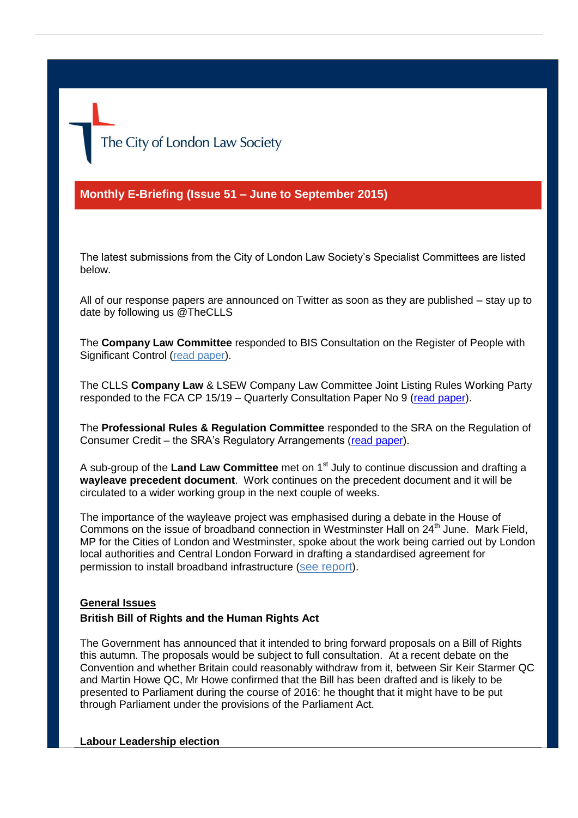The City of London Law Society

**Monthly E-Briefing (Issue 51 – June to September 2015)**

The latest submissions from the City of London Law Society's Specialist Committees are listed below.

All of our response papers are announced on Twitter as soon as they are published – stay up to date by following us @TheCLLS

The **Company Law Committee** responded to BIS Consultation on the Register of People with Significant Control [\(read paper\)](http://www.citysolicitors.org.uk/attachments/category/114/Response%20to%20BIS%20consultation%20on%20Register%20of%20People%20with%20Significant%20Control.pdf).

The CLLS **Company Law** & LSEW Company Law Committee Joint Listing Rules Working Party responded to the FCA CP 15/19 – Quarterly Consultation Paper No 9 [\(read paper\)](http://www.citysolicitors.org.uk/attachments/category/114/Joint%20CLLS%20and%20LSEW%20response%20CP15%2019%20quarterly%20consultation%20no%2030%207%2015.pdf).

The **Professional Rules & Regulation Committee** responded to the SRA on the Regulation of Consumer Credit – the SRA's Regulatory Arrangements [\(read paper\)](http://www.citysolicitors.org.uk/attachments/article/108/CLLS%20Consultation%20Response%20-%20Professional%20Rules%20and%20Regulation%20Committee%20-%20Regulation%20of%20consumer%20credit%20–%20the%20SRA).

A sub-group of the Land Law Committee met on 1<sup>st</sup> July to continue discussion and drafting a **wayleave precedent document**. Work continues on the precedent document and it will be circulated to a wider working group in the next couple of weeks.

The importance of the wayleave project was emphasised during a debate in the House of Commons on the issue of broadband connection in Westminster Hall on 24<sup>th</sup> June. Mark Field, MP for the Cities of London and Westminster, spoke about the work being carried out by London local authorities and Central London Forward in drafting a standardised agreement for permission to install broadband infrastructure ([see report](http://www.publications.parliament.uk/pa/cm201516/cmhansrd/cm150624/halltext/150624h0001.htm#15062464000001)).

## **General Issues**

## **British Bill of Rights and the Human Rights Act**

The Government has announced that it intended to bring forward proposals on a Bill of Rights this autumn. The proposals would be subject to full consultation. At a recent debate on the Convention and whether Britain could reasonably withdraw from it, between Sir Keir Starmer QC and Martin Howe QC, Mr Howe confirmed that the Bill has been drafted and is likely to be presented to Parliament during the course of 2016: he thought that it might have to be put through Parliament under the provisions of the Parliament Act.

## **Labour Leadership election**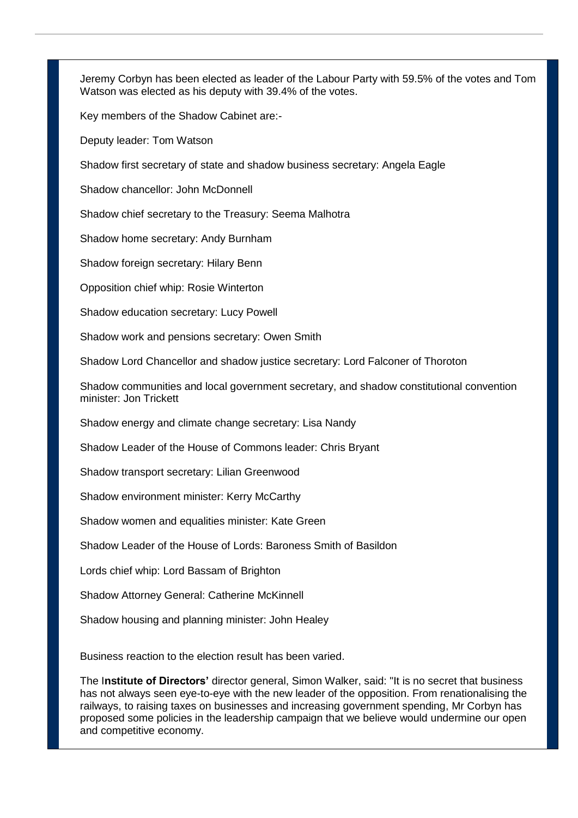Jeremy Corbyn has been elected as leader of the Labour Party with 59.5% of the votes and Tom Watson was elected as his deputy with 39.4% of the votes.

Key members of the Shadow Cabinet are:-

Deputy leader: Tom Watson

Shadow first secretary of state and shadow business secretary: Angela Eagle

Shadow chancellor: John McDonnell

Shadow chief secretary to the Treasury: Seema Malhotra

Shadow home secretary: Andy Burnham

Shadow foreign secretary: Hilary Benn

Opposition chief whip: Rosie Winterton

Shadow education secretary: Lucy Powell

Shadow work and pensions secretary: Owen Smith

Shadow Lord Chancellor and shadow justice secretary: Lord Falconer of Thoroton

Shadow communities and local government secretary, and shadow constitutional convention minister: Jon Trickett

Shadow energy and climate change secretary: Lisa Nandy

Shadow Leader of the House of Commons leader: Chris Bryant

Shadow transport secretary: Lilian Greenwood

Shadow environment minister: Kerry McCarthy

Shadow women and equalities minister: Kate Green

Shadow Leader of the House of Lords: Baroness Smith of Basildon

Lords chief whip: Lord Bassam of Brighton

Shadow Attorney General: Catherine McKinnell

Shadow housing and planning minister: John Healey

Business reaction to the election result has been varied.

The I**nstitute of Directors'** director general, Simon Walker, said: "It is no secret that business has not always seen eye-to-eye with the new leader of the opposition. From renationalising the railways, to raising taxes on businesses and increasing government spending, Mr Corbyn has proposed some policies in the leadership campaign that we believe would undermine our open and competitive economy.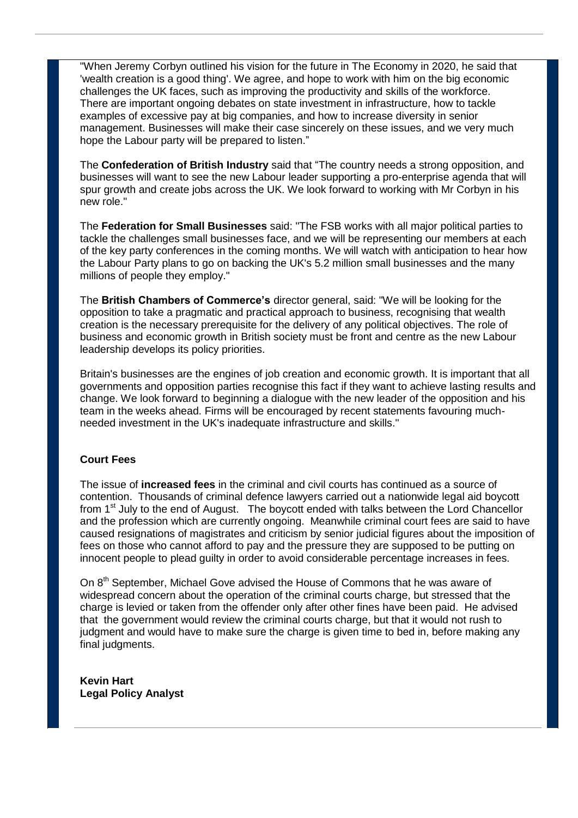"When Jeremy Corbyn outlined his vision for the future in The Economy in 2020, he said that 'wealth creation is a good thing'. We agree, and hope to work with him on the big economic challenges the UK faces, such as improving the productivity and skills of the workforce. There are important ongoing debates on state investment in infrastructure, how to tackle examples of excessive pay at big companies, and how to increase diversity in senior management. Businesses will make their case sincerely on these issues, and we very much hope the Labour party will be prepared to listen."

The **Confederation of British Industry** said that "The country needs a strong opposition, and businesses will want to see the new Labour leader supporting a pro-enterprise agenda that will spur growth and create jobs across the UK. We look forward to working with Mr Corbyn in his new role."

The **Federation for Small Businesses** said: "The FSB works with all major political parties to tackle the challenges small businesses face, and we will be representing our members at each of the key party conferences in the coming months. We will watch with anticipation to hear how the Labour Party plans to go on backing the UK's 5.2 million small businesses and the many millions of people they employ."

The **British Chambers of Commerce's** director general, said: "We will be looking for the opposition to take a pragmatic and practical approach to business, recognising that wealth creation is the necessary prerequisite for the delivery of any political objectives. The role of business and economic growth in British society must be front and centre as the new Labour leadership develops its policy priorities.

Britain's businesses are the engines of job creation and economic growth. It is important that all governments and opposition parties recognise this fact if they want to achieve lasting results and change. We look forward to beginning a dialogue with the new leader of the opposition and his team in the weeks ahead. Firms will be encouraged by recent statements favouring muchneeded investment in the UK's inadequate infrastructure and skills."

## **Court Fees**

The issue of **increased fees** in the criminal and civil courts has continued as a source of contention. Thousands of criminal defence lawyers carried out a nationwide legal aid boycott from 1st July to the end of August. The boycott ended with talks between the Lord Chancellor and the profession which are currently ongoing. Meanwhile criminal court fees are said to have caused resignations of magistrates and criticism by senior judicial figures about the imposition of fees on those who cannot afford to pay and the pressure they are supposed to be putting on innocent people to plead guilty in order to avoid considerable percentage increases in fees.

On 8<sup>th</sup> September, Michael Gove advised the House of Commons that he was aware of widespread concern about the operation of the criminal courts charge, but stressed that the charge is levied or taken from the offender only after other fines have been paid. He advised that the government would review the criminal courts charge, but that it would not rush to judgment and would have to make sure the charge is given time to bed in, before making any final judgments.

**Kevin Hart Legal Policy Analyst**